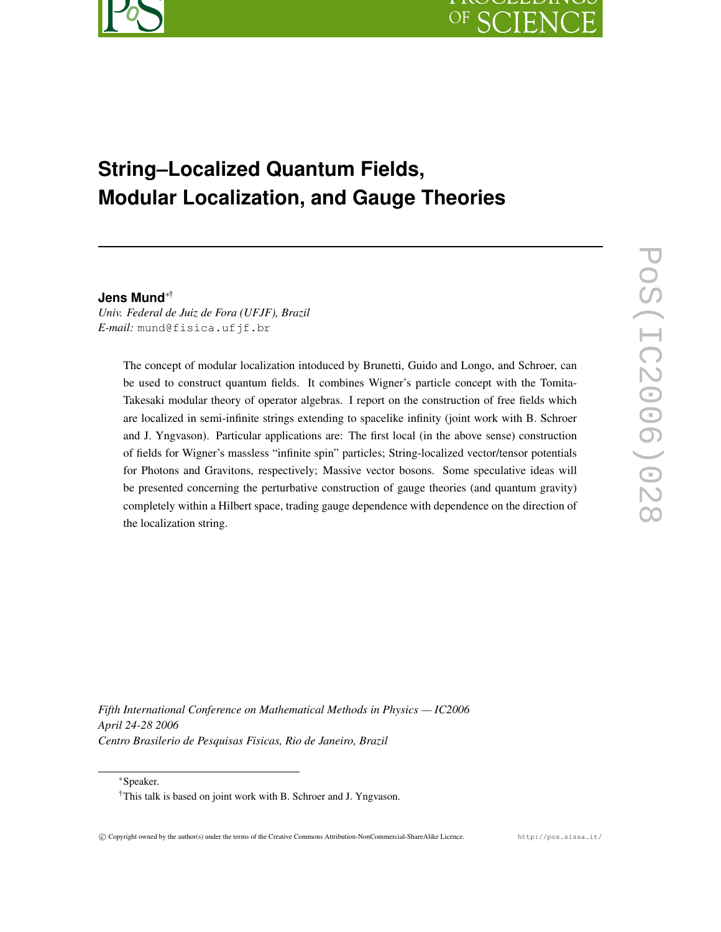# $OF$

## **String–Localized Quantum Fields, Modular Localization, and Gauge Theories**

#### **Jens Mund**∗†

*Univ. Federal de Juiz de Fora (UFJF), Brazil E-mail:* mund@fisica.ufjf.br

> The concept of modular localization intoduced by Brunetti, Guido and Longo, and Schroer, can be used to construct quantum fields. It combines Wigner's particle concept with the Tomita-Takesaki modular theory of operator algebras. I report on the construction of free fields which are localized in semi-infinite strings extending to spacelike infinity (joint work with B. Schroer and J. Yngvason). Particular applications are: The first local (in the above sense) construction of fields for Wigner's massless "infinite spin" particles; String-localized vector/tensor potentials for Photons and Gravitons, respectively; Massive vector bosons. Some speculative ideas will be presented concerning the perturbative construction of gauge theories (and quantum gravity) completely within a Hilbert space, trading gauge dependence with dependence on the direction of the localization string.

*Fifth International Conference on Mathematical Methods in Physics — IC2006 April 24-28 2006 Centro Brasilerio de Pesquisas Fisicas, Rio de Janeiro, Brazil*

<sup>∗</sup>Speaker.

<sup>†</sup>This talk is based on joint work with B. Schroer and J. Yngvason.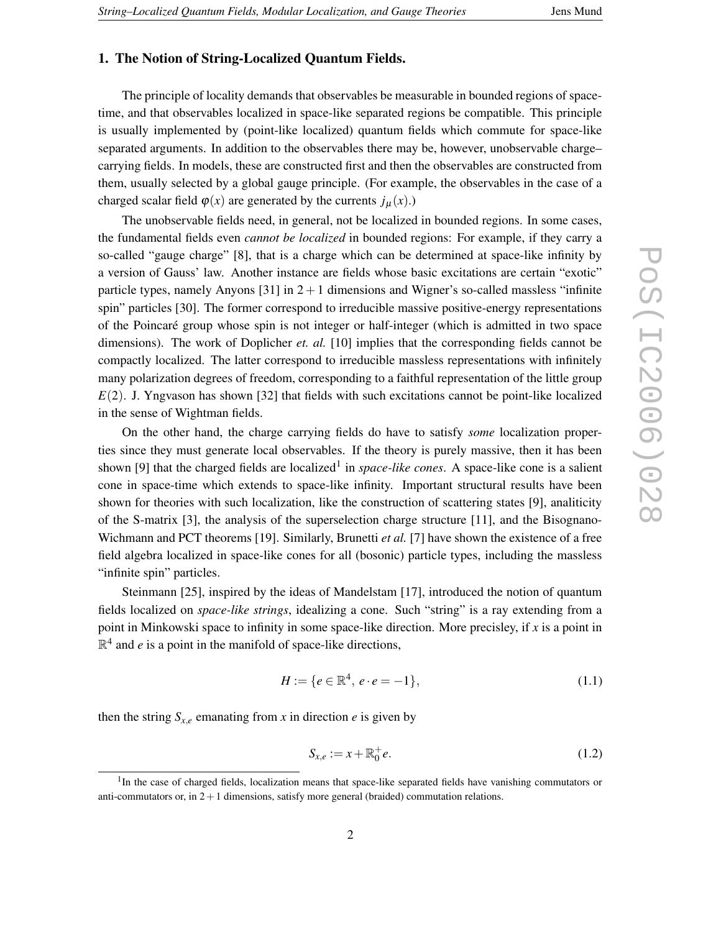## **1. The Notion of String-Localized Quantum Fields.**

The principle of locality demands that observables be measurable in bounded regions of spacetime, and that observables localized in space-like separated regions be compatible. This principle is usually implemented by (point-like localized) quantum fields which commute for space-like separated arguments. In addition to the observables there may be, however, unobservable charge– carrying fields. In models, these are constructed first and then the observables are constructed from them, usually selected by a global gauge principle. (For example, the observables in the case of a charged scalar field  $\varphi(x)$  are generated by the currents  $j_{\mu}(x)$ .)

The unobservable fields need, in general, not be localized in bounded regions. In some cases, the fundamental fields even *cannot be localized* in bounded regions: For example, if they carry a so-called "gauge charge" [8], that is a charge which can be determined at space-like infinity by a version of Gauss' law. Another instance are fields whose basic excitations are certain "exotic" particle types, namely Anyons  $[31]$  in  $2+1$  dimensions and Wigner's so-called massless "infinite spin" particles [30]. The former correspond to irreducible massive positive-energy representations of the Poincaré group whose spin is not integer or half-integer (which is admitted in two space dimensions). The work of Doplicher *et. al.* [10] implies that the corresponding fields cannot be compactly localized. The latter correspond to irreducible massless representations with infinitely many polarization degrees of freedom, corresponding to a faithful representation of the little group *E*(2). J. Yngvason has shown [32] that fields with such excitations cannot be point-like localized in the sense of Wightman fields.

On the other hand, the charge carrying fields do have to satisfy *some* localization properties since they must generate local observables. If the theory is purely massive, then it has been shown [9] that the charged fields are localized<sup>1</sup> in *space-like cones*. A space-like cone is a salient cone in space-time which extends to space-like infinity. Important structural results have been shown for theories with such localization, like the construction of scattering states [9], analiticity of the S-matrix [3], the analysis of the superselection charge structure [11], and the Bisognano-Wichmann and PCT theorems [19]. Similarly, Brunetti *et al.* [7] have shown the existence of a free field algebra localized in space-like cones for all (bosonic) particle types, including the massless "infinite spin" particles.

Steinmann [25], inspired by the ideas of Mandelstam [17], introduced the notion of quantum fields localized on *space-like strings*, idealizing a cone. Such "string" is a ray extending from a point in Minkowski space to infinity in some space-like direction. More precisley, if *x* is a point in  $\mathbb{R}^4$  and *e* is a point in the manifold of space-like directions,

$$
H := \{ e \in \mathbb{R}^4, \, e \cdot e = -1 \},\tag{1.1}
$$

then the string  $S_{x,e}$  emanating from *x* in direction *e* is given by

$$
S_{x,e} := x + \mathbb{R}_0^+ e. \tag{1.2}
$$

<sup>&</sup>lt;sup>1</sup>In the case of charged fields, localization means that space-like separated fields have vanishing commutators or anti-commutators or, in  $2+1$  dimensions, satisfy more general (braided) commutation relations.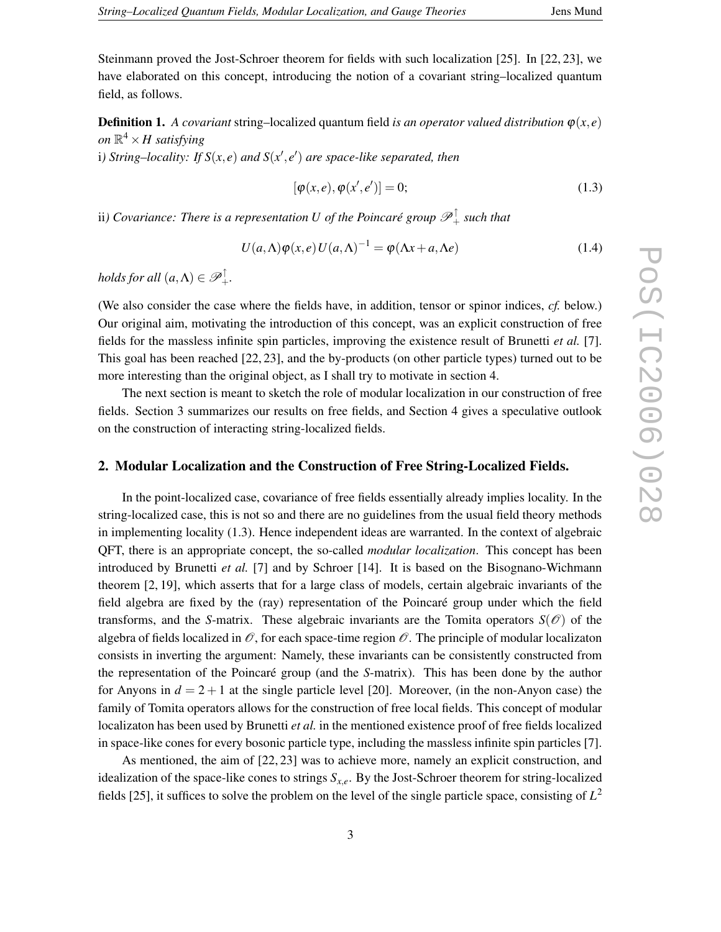Steinmann proved the Jost-Schroer theorem for fields with such localization [25]. In [22, 23], we have elaborated on this concept, introducing the notion of a covariant string–localized quantum field, as follows.

**Definition 1.** *A covariant* string–localized quantum field *is an operator valued distribution*  $\varphi(x, e)$  $\partial n \, \mathbb{R}^4 \times H$  satisfying

i*) String–locality: If*  $S(x, e)$  *and*  $S(x', e')$  *are space-like separated, then* 

$$
[\varphi(x,e),\varphi(x',e')] = 0;\t\t(1.3)
$$

ii*) Covariance: There is a representation U of the Poincaré group* P<sup>↑</sup> <sup>+</sup> *such that*

$$
U(a,\Lambda)\varphi(x,e)U(a,\Lambda)^{-1} = \varphi(\Lambda x + a,\Lambda e)
$$
\n(1.4)

*holds* for all  $(a, \Lambda) \in \mathscr{P}_+^{\uparrow}$ .

(We also consider the case where the fields have, in addition, tensor or spinor indices, *cf.* below.) Our original aim, motivating the introduction of this concept, was an explicit construction of free fields for the massless infinite spin particles, improving the existence result of Brunetti *et al.* [7]. This goal has been reached [22, 23], and the by-products (on other particle types) turned out to be more interesting than the original object, as I shall try to motivate in section 4.

The next section is meant to sketch the role of modular localization in our construction of free fields. Section 3 summarizes our results on free fields, and Section 4 gives a speculative outlook on the construction of interacting string-localized fields.

### **2. Modular Localization and the Construction of Free String-Localized Fields.**

In the point-localized case, covariance of free fields essentially already implies locality. In the string-localized case, this is not so and there are no guidelines from the usual field theory methods in implementing locality (1.3). Hence independent ideas are warranted. In the context of algebraic QFT, there is an appropriate concept, the so-called *modular localization*. This concept has been introduced by Brunetti *et al.* [7] and by Schroer [14]. It is based on the Bisognano-Wichmann theorem [2, 19], which asserts that for a large class of models, certain algebraic invariants of the field algebra are fixed by the (ray) representation of the Poincaré group under which the field transforms, and the *S*-matrix. These algebraic invariants are the Tomita operators  $S(\mathscr{O})$  of the algebra of fields localized in  $\mathcal O$ , for each space-time region  $\mathcal O$ . The principle of modular localizaton consists in inverting the argument: Namely, these invariants can be consistently constructed from the representation of the Poincaré group (and the *S*-matrix). This has been done by the author for Anyons in  $d = 2 + 1$  at the single particle level [20]. Moreover, (in the non-Anyon case) the family of Tomita operators allows for the construction of free local fields. This concept of modular localizaton has been used by Brunetti *et al.* in the mentioned existence proof of free fields localized in space-like cones for every bosonic particle type, including the massless infinite spin particles [7].

As mentioned, the aim of [22, 23] was to achieve more, namely an explicit construction, and idealization of the space-like cones to strings  $S_{x,e}$ . By the Jost-Schroer theorem for string-localized fields [25], it suffices to solve the problem on the level of the single particle space, consisting of *L* 2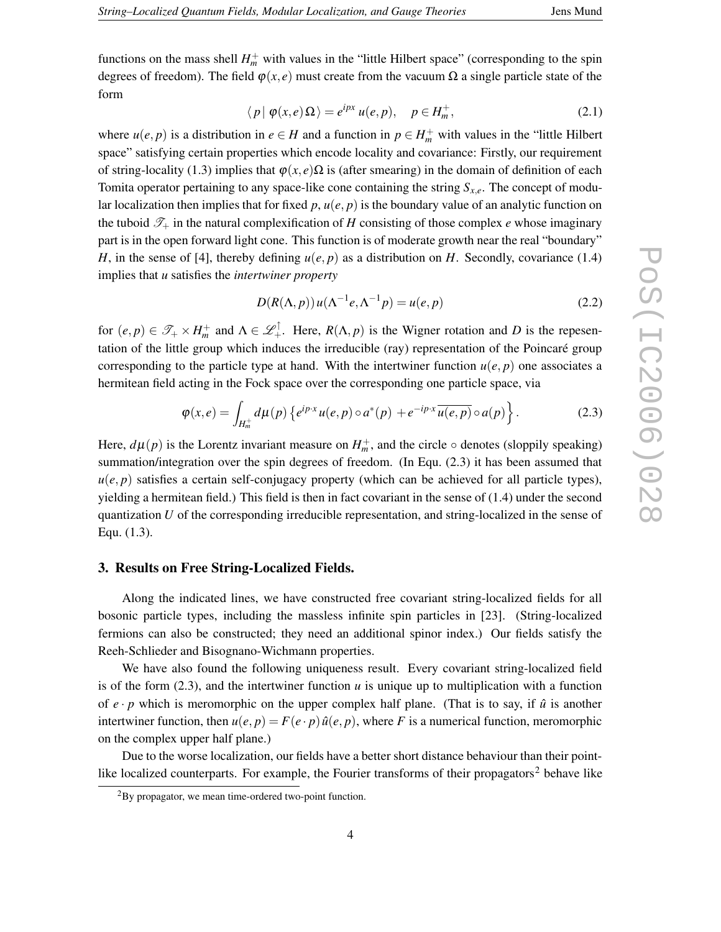functions on the mass shell  $H_m^+$  with values in the "little Hilbert space" (corresponding to the spin degrees of freedom). The field  $\varphi(x, e)$  must create from the vacuum  $\Omega$  a single particle state of the form

$$
\langle p | \varphi(x, e) \Omega \rangle = e^{ipx} u(e, p), \quad p \in H_m^+, \tag{2.1}
$$

where  $u(e, p)$  is a distribution in  $e \in H$  and a function in  $p \in H_m^+$  with values in the "little Hilbert" space" satisfying certain properties which encode locality and covariance: Firstly, our requirement of string-locality (1.3) implies that  $\varphi(x, e)\Omega$  is (after smearing) in the domain of definition of each Tomita operator pertaining to any space-like cone containing the string *Sx*,*e*. The concept of modular localization then implies that for fixed *p*, *u*(*e*, *p*) is the boundary value of an analytic function on the tuboid  $\mathcal{T}_+$  in the natural complexification of *H* consisting of those complex *e* whose imaginary part is in the open forward light cone. This function is of moderate growth near the real "boundary" *H*, in the sense of [4], thereby defining  $u(e, p)$  as a distribution on *H*. Secondly, covariance (1.4) implies that *u* satisfies the *intertwiner property*

$$
D(R(\Lambda, p))u(\Lambda^{-1}e, \Lambda^{-1}p) = u(e, p)
$$
\n(2.2)

for  $(e, p) \in \mathscr{T}_+ \times H_m^+$  and  $\Lambda \in \mathscr{L}_+^{\uparrow}$ . Here,  $R(\Lambda, p)$  is the Wigner rotation and *D* is the repesentation of the little group which induces the irreducible (ray) representation of the Poincaré group corresponding to the particle type at hand. With the intertwiner function  $u(e, p)$  one associates a hermitean field acting in the Fock space over the corresponding one particle space, via

$$
\varphi(x,e) = \int_{H_m^+} d\mu(p) \left\{ e^{ip\cdot x} u(e,p) \circ a^*(p) + e^{-ip\cdot x} \overline{u(e,p)} \circ a(p) \right\}.
$$
 (2.3)

Here,  $d\mu(p)$  is the Lorentz invariant measure on  $H_m^+$ , and the circle  $\circ$  denotes (sloppily speaking) summation/integration over the spin degrees of freedom. (In Equ. (2.3) it has been assumed that  $u(e, p)$  satisfies a certain self-conjugacy property (which can be achieved for all particle types), yielding a hermitean field.) This field is then in fact covariant in the sense of (1.4) under the second quantization *U* of the corresponding irreducible representation, and string-localized in the sense of Equ. (1.3).

#### **3. Results on Free String-Localized Fields.**

Along the indicated lines, we have constructed free covariant string-localized fields for all bosonic particle types, including the massless infinite spin particles in [23]. (String-localized fermions can also be constructed; they need an additional spinor index.) Our fields satisfy the Reeh-Schlieder and Bisognano-Wichmann properties.

We have also found the following uniqueness result. Every covariant string-localized field is of the form  $(2.3)$ , and the intertwiner function  $u$  is unique up to multiplication with a function of  $e \cdot p$  which is meromorphic on the upper complex half plane. (That is to say, if  $\hat{u}$  is another intertwiner function, then  $u(e, p) = F(e \cdot p) \hat{u}(e, p)$ , where *F* is a numerical function, meromorphic on the complex upper half plane.)

Due to the worse localization, our fields have a better short distance behaviour than their pointlike localized counterparts. For example, the Fourier transforms of their propagators<sup>2</sup> behave like

<sup>2</sup>By propagator, we mean time-ordered two-point function.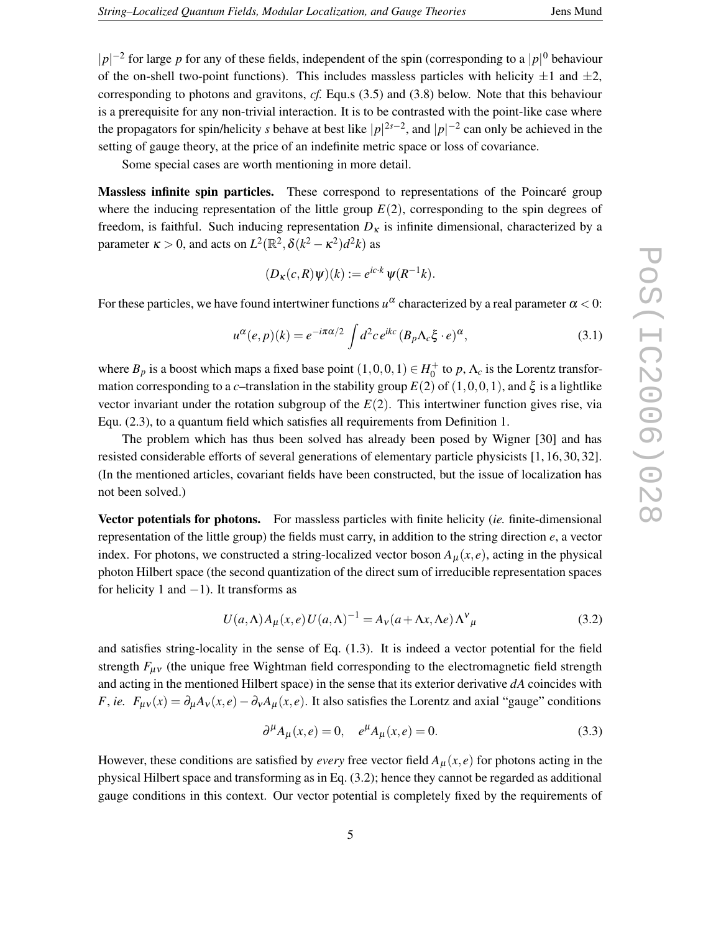|*p*|<sup>-2</sup> for large *p* for any of these fields, independent of the spin (corresponding to a |*p*|<sup>0</sup> behaviour of the on-shell two-point functions). This includes massless particles with helicity  $\pm 1$  and  $\pm 2$ , corresponding to photons and gravitons, *cf.* Equ.s (3.5) and (3.8) below. Note that this behaviour is a prerequisite for any non-trivial interaction. It is to be contrasted with the point-like case where the propagators for spin/helicity *s* behave at best like  $|p|^{2s-2}$ , and  $|p|^{-2}$  can only be achieved in the setting of gauge theory, at the price of an indefinite metric space or loss of covariance.

Some special cases are worth mentioning in more detail.

**Massless infinite spin particles.** These correspond to representations of the Poincaré group where the inducing representation of the little group  $E(2)$ , corresponding to the spin degrees of freedom, is faithful. Such inducing representation  $D<sub>K</sub>$  is infinite dimensional, characterized by a parameter  $\kappa > 0$ , and acts on  $L^2(\mathbb{R}^2, \delta(k^2 - \kappa^2)d^2k)$  as

$$
(D_K(c,R)\psi)(k) := e^{ic\cdot k}\psi(R^{-1}k).
$$

For these particles, we have found intertwiner functions  $u^{\alpha}$  characterized by a real parameter  $\alpha$  < 0:

$$
u^{\alpha}(e,p)(k) = e^{-i\pi\alpha/2} \int d^2c \, e^{ikc} \left(B_p \Lambda_c \xi \cdot e\right)^{\alpha},\tag{3.1}
$$

where  $B_p$  is a boost which maps a fixed base point  $(1,0,0,1) \in H_0^+$  to  $p, \Lambda_c$  is the Lorentz transformation corresponding to a *c*–translation in the stability group  $E(2)$  of  $(1,0,0,1)$ , and  $\xi$  is a lightlike vector invariant under the rotation subgroup of the *E*(2). This intertwiner function gives rise, via Equ. (2.3), to a quantum field which satisfies all requirements from Definition 1.

The problem which has thus been solved has already been posed by Wigner [30] and has resisted considerable efforts of several generations of elementary particle physicists [1, 16, 30, 32]. (In the mentioned articles, covariant fields have been constructed, but the issue of localization has not been solved.)

**Vector potentials for photons.** For massless particles with finite helicity (*ie.* finite-dimensional representation of the little group) the fields must carry, in addition to the string direction *e*, a vector index. For photons, we constructed a string-localized vector boson  $A_\mu(x, e)$ , acting in the physical photon Hilbert space (the second quantization of the direct sum of irreducible representation spaces for helicity 1 and  $-1$ ). It transforms as

$$
U(a,\Lambda)A_{\mu}(x,e)U(a,\Lambda)^{-1} = A_{\nu}(a+\Lambda x,\Lambda e)\Lambda^{\nu}_{\mu}
$$
\n(3.2)

and satisfies string-locality in the sense of Eq. (1.3). It is indeed a vector potential for the field strength  $F_{\mu\nu}$  (the unique free Wightman field corresponding to the electromagnetic field strength and acting in the mentioned Hilbert space) in the sense that its exterior derivative *dA* coincides with *F*, *ie.*  $F_{\mu\nu}(x) = \partial_{\mu}A_{\nu}(x, e) - \partial_{\nu}A_{\mu}(x, e)$ . It also satisfies the Lorentz and axial "gauge" conditions

$$
\partial^{\mu} A_{\mu}(x, e) = 0, \quad e^{\mu} A_{\mu}(x, e) = 0.
$$
 (3.3)

However, these conditions are satisfied by *every* free vector field  $A<sub>\mu</sub>(x, e)$  for photons acting in the physical Hilbert space and transforming as in Eq. (3.2); hence they cannot be regarded as additional gauge conditions in this context. Our vector potential is completely fixed by the requirements of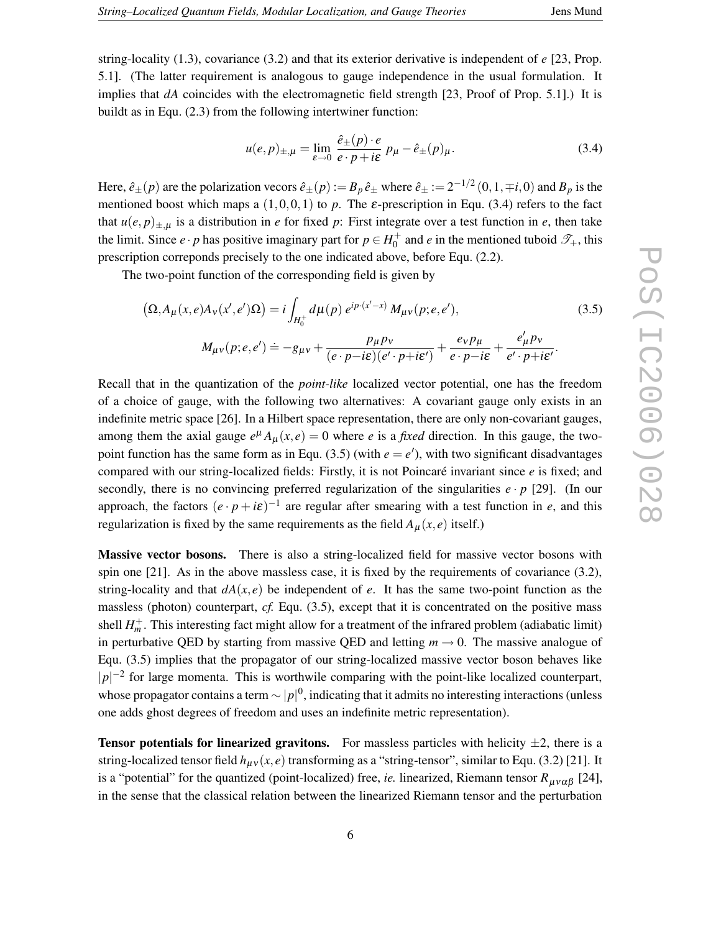string-locality (1.3), covariance (3.2) and that its exterior derivative is independent of *e* [23, Prop. 5.1]. (The latter requirement is analogous to gauge independence in the usual formulation. It implies that *dA* coincides with the electromagnetic field strength [23, Proof of Prop. 5.1].) It is buildt as in Equ. (2.3) from the following intertwiner function:

$$
u(e,p)_{\pm,\mu} = \lim_{\varepsilon \to 0} \frac{\hat{e}_{\pm}(p) \cdot e}{e \cdot p + i\varepsilon} \, p_{\mu} - \hat{e}_{\pm}(p)_{\mu}.
$$

Here,  $\hat{e}_{\pm}(p)$  are the polarization vecors  $\hat{e}_{\pm}(p) := B_p \hat{e}_{\pm}$  where  $\hat{e}_{\pm} := 2^{-1/2} (0, 1, \mp i, 0)$  and  $B_p$  is the mentioned boost which maps a  $(1,0,0,1)$  to p. The  $\varepsilon$ -prescription in Equ. (3.4) refers to the fact that  $u(e, p)_{\pm,\mu}$  is a distribution in *e* for fixed *p*: First integrate over a test function in *e*, then take the limit. Since  $e \cdot p$  has positive imaginary part for  $p \in H_0^+$  and  $e$  in the mentioned tuboid  $\mathcal{T}_+$ , this prescription correponds precisely to the one indicated above, before Equ. (2.2).

The two-point function of the corresponding field is given by

$$
(\Omega, A_{\mu}(x, e)A_{\nu}(x', e')\Omega) = i \int_{H_0^+} d\mu(p) e^{ip \cdot (x'-x)} M_{\mu\nu}(p; e, e'),
$$
\n
$$
M_{\mu\nu}(p; e, e') \doteq -g_{\mu\nu} + \frac{p_{\mu}p_{\nu}}{(e \cdot p - i\varepsilon)(e' \cdot p + i\varepsilon')} + \frac{e_{\nu}p_{\mu}}{e \cdot p - i\varepsilon} + \frac{e'_{\mu}p_{\nu}}{e' \cdot p + i\varepsilon'}.
$$
\n(3.5)

Recall that in the quantization of the *point-like* localized vector potential, one has the freedom of a choice of gauge, with the following two alternatives: A covariant gauge only exists in an indefinite metric space [26]. In a Hilbert space representation, there are only non-covariant gauges, among them the axial gauge  $e^{\mu} A_{\mu}(x, e) = 0$  where *e* is a *fixed* direction. In this gauge, the twopoint function has the same form as in Equ. (3.5) (with  $e = e'$ ), with two significant disadvantages compared with our string-localized fields: Firstly, it is not Poincaré invariant since *e* is fixed; and secondly, there is no convincing preferred regularization of the singularities  $e \cdot p$  [29]. (In our approach, the factors  $(e \cdot p + i\varepsilon)^{-1}$  are regular after smearing with a test function in *e*, and this regularization is fixed by the same requirements as the field  $A_{\mu}(x, e)$  itself.)

**Massive vector bosons.** There is also a string-localized field for massive vector bosons with spin one [21]. As in the above massless case, it is fixed by the requirements of covariance (3.2), string-locality and that  $dA(x, e)$  be independent of *e*. It has the same two-point function as the massless (photon) counterpart, *cf.* Equ. (3.5), except that it is concentrated on the positive mass shell  $H_m^+$ . This interesting fact might allow for a treatment of the infrared problem (adiabatic limit) in perturbative OED by starting from massive OED and letting  $m \to 0$ . The massive analogue of Equ. (3.5) implies that the propagator of our string-localized massive vector boson behaves like  $|p|^{-2}$  for large momenta. This is worthwile comparing with the point-like localized counterpart, whose propagator contains a term  $\sim |p|^0$ , indicating that it admits no interesting interactions (unless one adds ghost degrees of freedom and uses an indefinite metric representation).

**Tensor potentials for linearized gravitons.** For massless particles with helicity  $\pm 2$ , there is a string-localized tensor field  $h_{\mu\nu}(x,e)$  transforming as a "string-tensor", similar to Equ. (3.2) [21]. It is a "potential" for the quantized (point-localized) free, *ie*. linearized, Riemann tensor  $R_{\mu\nu\alpha\beta}$  [24], in the sense that the classical relation between the linearized Riemann tensor and the perturbation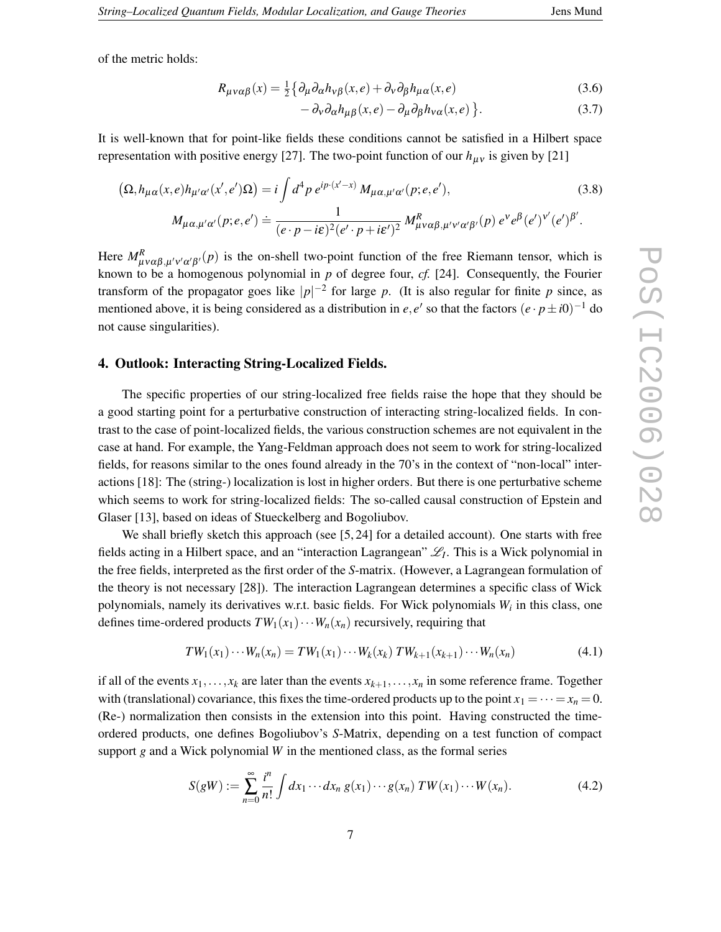of the metric holds:

$$
R_{\mu\nu\alpha\beta}(x) = \frac{1}{2} \{ \partial_{\mu} \partial_{\alpha} h_{\nu\beta}(x, e) + \partial_{\nu} \partial_{\beta} h_{\mu\alpha}(x, e) \tag{3.6}
$$

$$
- \partial_{\nu} \partial_{\alpha} h_{\mu\beta}(x, e) - \partial_{\mu} \partial_{\beta} h_{\nu\alpha}(x, e) \}.
$$
 (3.7)

It is well-known that for point-like fields these conditions cannot be satisfied in a Hilbert space representation with positive energy [27]. The two-point function of our  $h_{\mu\nu}$  is given by [21]

$$
\left(\Omega, h_{\mu\alpha}(x,e)h_{\mu'\alpha'}(x',e')\Omega\right) = i\int d^4p \, e^{ip\cdot(x'-x)} \, M_{\mu\alpha,\mu'\alpha'}(p;e,e'),\tag{3.8}
$$
\n
$$
M_{\mu\alpha,\mu'\alpha'}(p;e,e') \doteq \frac{1}{(e\cdot p - i\varepsilon)^2(e'\cdot p + i\varepsilon')^2} \, M_{\mu\nu\alpha\beta,\mu'\nu'\alpha'\beta'}^R(p) \, e^{\nu} e^{\beta}(e')^{\nu'}(e')^{\beta'}.
$$

Here  $M_{\mu\nu\alpha\beta,\mu'\nu'\alpha'\beta'}^R(p)$  is the on-shell two-point function of the free Riemann tensor, which is known to be a homogenous polynomial in *p* of degree four, *cf.* [24]. Consequently, the Fourier transform of the propagator goes like  $|p|^{-2}$  for large p. (It is also regular for finite p since, as mentioned above, it is being considered as a distribution in  $e, e'$  so that the factors  $(e \cdot p \pm i0)^{-1}$  do not cause singularities).

#### **4. Outlook: Interacting String-Localized Fields.**

The specific properties of our string-localized free fields raise the hope that they should be a good starting point for a perturbative construction of interacting string-localized fields. In contrast to the case of point-localized fields, the various construction schemes are not equivalent in the case at hand. For example, the Yang-Feldman approach does not seem to work for string-localized fields, for reasons similar to the ones found already in the 70's in the context of "non-local" interactions [18]: The (string-) localization is lost in higher orders. But there is one perturbative scheme which seems to work for string-localized fields: The so-called causal construction of Epstein and Glaser [13], based on ideas of Stueckelberg and Bogoliubov.

We shall briefly sketch this approach (see [5, 24] for a detailed account). One starts with free fields acting in a Hilbert space, and an "interaction Lagrangean"  $\mathcal{L}_I$ . This is a Wick polynomial in the free fields, interpreted as the first order of the *S*-matrix. (However, a Lagrangean formulation of the theory is not necessary [28]). The interaction Lagrangean determines a specific class of Wick polynomials, namely its derivatives w.r.t. basic fields. For Wick polynomials *W<sup>i</sup>* in this class, one defines time-ordered products  $TW_1(x_1)\cdots W_n(x_n)$  recursively, requiring that

$$
TW_1(x_1)\cdots W_n(x_n) = TW_1(x_1)\cdots W_k(x_k) TW_{k+1}(x_{k+1})\cdots W_n(x_n)
$$
\n(4.1)

if all of the events  $x_1, \ldots, x_k$  are later than the events  $x_{k+1}, \ldots, x_n$  in some reference frame. Together with (translational) covariance, this fixes the time-ordered products up to the point  $x_1 = \cdots = x_n = 0$ . (Re-) normalization then consists in the extension into this point. Having constructed the timeordered products, one defines Bogoliubov's *S*-Matrix, depending on a test function of compact support  $g$  and a Wick polynomial  $W$  in the mentioned class, as the formal series

$$
S(gW) := \sum_{n=0}^{\infty} \frac{i^n}{n!} \int dx_1 \cdots dx_n \, g(x_1) \cdots g(x_n) \, TW(x_1) \cdots W(x_n). \tag{4.2}
$$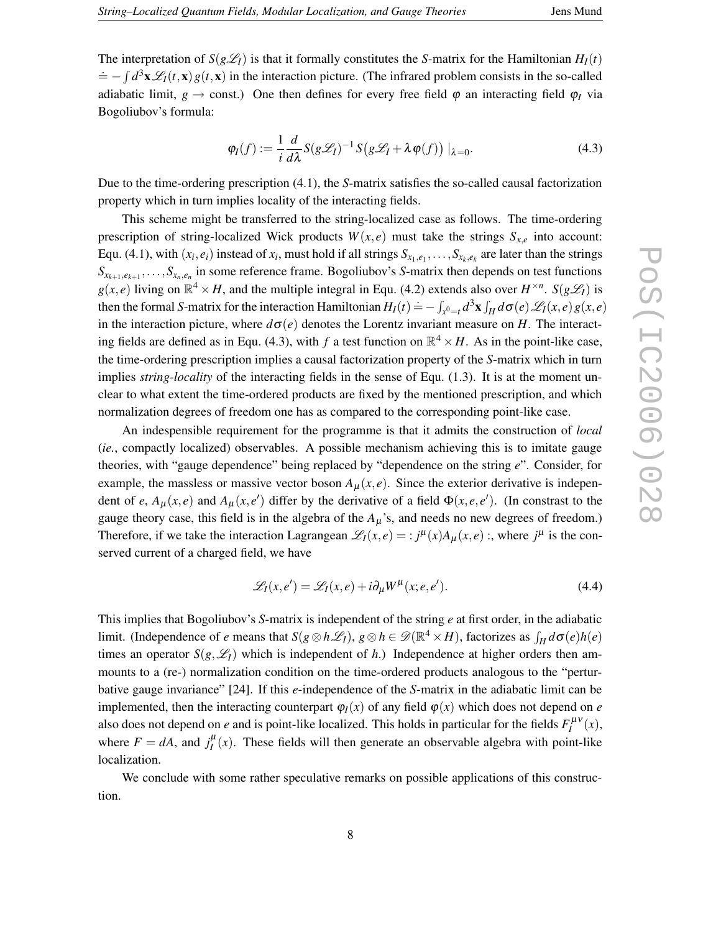The interpretation of  $S(g\mathcal{L}_I)$  is that it formally constitutes the *S*-matrix for the Hamiltonian  $H_I(t)$  $\dot{A} = -\int d^3\mathbf{x} \mathcal{L}_I(t,\mathbf{x}) g(t,\mathbf{x})$  in the interaction picture. (The infrared problem consists in the so-called adiabatic limit,  $g \rightarrow$  const.) One then defines for every free field  $\varphi$  an interacting field  $\varphi$ *I* via Bogoliubov's formula:

$$
\varphi_I(f) := \frac{1}{i} \frac{d}{d\lambda} S(g\mathcal{L}_I)^{-1} S(g\mathcal{L}_I + \lambda \varphi(f)) |_{\lambda = 0}.
$$
\n(4.3)

Due to the time-ordering prescription (4.1), the *S*-matrix satisfies the so-called causal factorization property which in turn implies locality of the interacting fields.

This scheme might be transferred to the string-localized case as follows. The time-ordering prescription of string-localized Wick products  $W(x, e)$  must take the strings  $S_{x,e}$  into account: Equ. (4.1), with  $(x_i, e_i)$  instead of  $x_i$ , must hold if all strings  $S_{x_1, e_1}, \ldots, S_{x_k, e_k}$  are later than the strings  $S_{x_{k+1},e_{k+1}},\ldots,S_{x_n,e_n}$  in some reference frame. Bogoliubov's *S*-matrix then depends on test functions  $g(x, e)$  living on  $\mathbb{R}^4 \times H$ , and the multiple integral in Equ. (4.2) extends also over  $H^{\times n}$ .  $S(g\mathcal{L}_I)$  is then the formal *S*-matrix for the interaction Hamiltonian  $H_I(t) = -\int_{x^0=t} d^3\mathbf{x} \int_H d\sigma(e) \mathcal{L}_I(x,e) g(x,e)$ in the interaction picture, where  $d\sigma(e)$  denotes the Lorentz invariant measure on *H*. The interacting fields are defined as in Equ. (4.3), with *f* a test function on  $\mathbb{R}^4 \times H$ . As in the point-like case, the time-ordering prescription implies a causal factorization property of the *S*-matrix which in turn implies *string-locality* of the interacting fields in the sense of Equ. (1.3). It is at the moment unclear to what extent the time-ordered products are fixed by the mentioned prescription, and which normalization degrees of freedom one has as compared to the corresponding point-like case.

An indespensible requirement for the programme is that it admits the construction of *local* (*ie.*, compactly localized) observables. A possible mechanism achieving this is to imitate gauge theories, with "gauge dependence" being replaced by "dependence on the string *e*". Consider, for example, the massless or massive vector boson  $A<sub>u</sub>(x, e)$ . Since the exterior derivative is independent of *e*,  $A_{\mu}(x,e)$  and  $A_{\mu}(x,e')$  differ by the derivative of a field  $\Phi(x,e,e')$ . (In constrast to the gauge theory case, this field is in the algebra of the  $A<sub>\mu</sub>$ 's, and needs no new degrees of freedom.) Therefore, if we take the interaction Lagrangean  $\mathscr{L}_I(x,e) = i j^{\mu}(x) A_{\mu}(x,e)$ :, where  $j^{\mu}$  is the conserved current of a charged field, we have

$$
\mathcal{L}_I(x, e') = \mathcal{L}_I(x, e) + i \partial_\mu W^\mu(x; e, e'). \tag{4.4}
$$

This implies that Bogoliubov's *S*-matrix is independent of the string *e* at first order, in the adiabatic limit. (Independence of *e* means that  $S(g \otimes h \mathcal{L}_I)$ ,  $g \otimes h \in \mathcal{D}(\mathbb{R}^4 \times H)$ , factorizes as  $\int_H d\sigma(e)h(e)$ times an operator  $S(g, \mathscr{L}_I)$  which is independent of *h*.) Independence at higher orders then ammounts to a (re-) normalization condition on the time-ordered products analogous to the "perturbative gauge invariance" [24]. If this *e*-independence of the *S*-matrix in the adiabatic limit can be implemented, then the interacting counterpart  $\varphi_I(x)$  of any field  $\varphi(x)$  which does not depend on *e* also does not depend on *e* and is point-like localized. This holds in particular for the fields  $F_I^{\mu\nu}(x)$ , where  $F = dA$ , and  $j_I^{\mu}(x)$ . These fields will then generate an observable algebra with point-like localization.

We conclude with some rather speculative remarks on possible applications of this construction.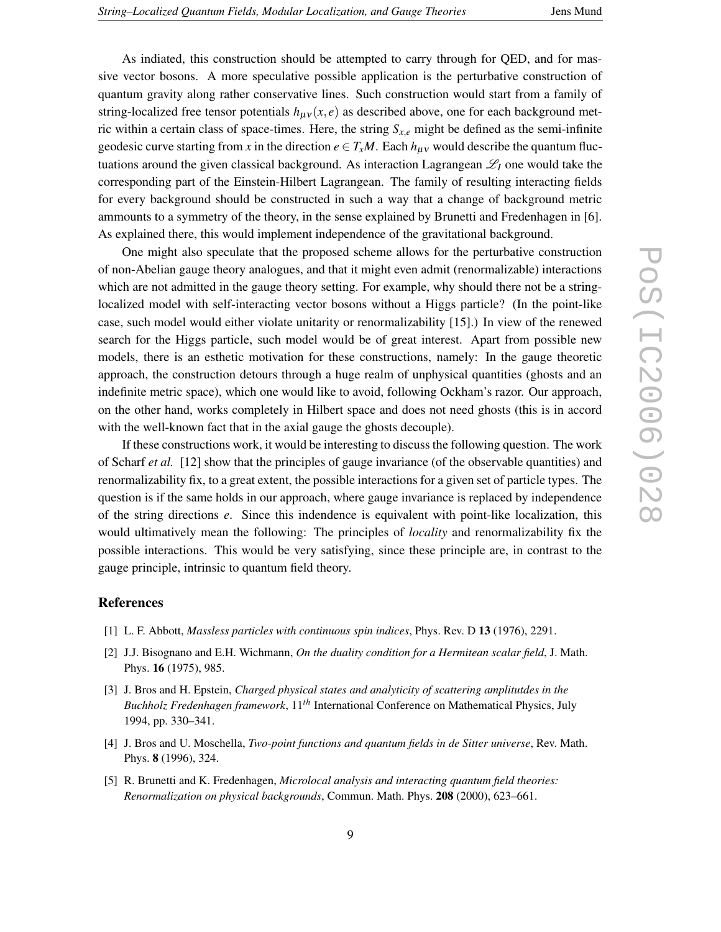As indiated, this construction should be attempted to carry through for QED, and for massive vector bosons. A more speculative possible application is the perturbative construction of quantum gravity along rather conservative lines. Such construction would start from a family of string-localized free tensor potentials  $h_{\mu\nu}(x, e)$  as described above, one for each background metric within a certain class of space-times. Here, the string *Sx*,*<sup>e</sup>* might be defined as the semi-infinite geodesic curve starting from *x* in the direction  $e \in T_xM$ . Each  $h_{\mu\nu}$  would describe the quantum fluctuations around the given classical background. As interaction Lagrangean  $\mathscr{L}_I$  one would take the corresponding part of the Einstein-Hilbert Lagrangean. The family of resulting interacting fields for every background should be constructed in such a way that a change of background metric ammounts to a symmetry of the theory, in the sense explained by Brunetti and Fredenhagen in [6]. As explained there, this would implement independence of the gravitational background.

One might also speculate that the proposed scheme allows for the perturbative construction of non-Abelian gauge theory analogues, and that it might even admit (renormalizable) interactions which are not admitted in the gauge theory setting. For example, why should there not be a stringlocalized model with self-interacting vector bosons without a Higgs particle? (In the point-like case, such model would either violate unitarity or renormalizability [15].) In view of the renewed search for the Higgs particle, such model would be of great interest. Apart from possible new models, there is an esthetic motivation for these constructions, namely: In the gauge theoretic approach, the construction detours through a huge realm of unphysical quantities (ghosts and an indefinite metric space), which one would like to avoid, following Ockham's razor. Our approach, on the other hand, works completely in Hilbert space and does not need ghosts (this is in accord with the well-known fact that in the axial gauge the ghosts decouple).

If these constructions work, it would be interesting to discuss the following question. The work of Scharf *et al.* [12] show that the principles of gauge invariance (of the observable quantities) and renormalizability fix, to a great extent, the possible interactions for a given set of particle types. The question is if the same holds in our approach, where gauge invariance is replaced by independence of the string directions *e*. Since this indendence is equivalent with point-like localization, this would ultimatively mean the following: The principles of *locality* and renormalizability fix the possible interactions. This would be very satisfying, since these principle are, in contrast to the gauge principle, intrinsic to quantum field theory.

#### **References**

- [1] L. F. Abbott, *Massless particles with continuous spin indices*, Phys. Rev. D **13** (1976), 2291.
- [2] J.J. Bisognano and E.H. Wichmann, *On the duality condition for a Hermitean scalar field*, J. Math. Phys. **16** (1975), 985.
- [3] J. Bros and H. Epstein, *Charged physical states and analyticity of scattering amplitutdes in the Buchholz Fredenhagen framework*, 11*th* International Conference on Mathematical Physics, July 1994, pp. 330–341.
- [4] J. Bros and U. Moschella, *Two-point functions and quantum fields in de Sitter universe*, Rev. Math. Phys. **8** (1996), 324.
- [5] R. Brunetti and K. Fredenhagen, *Microlocal analysis and interacting quantum field theories: Renormalization on physical backgrounds*, Commun. Math. Phys. **208** (2000), 623–661.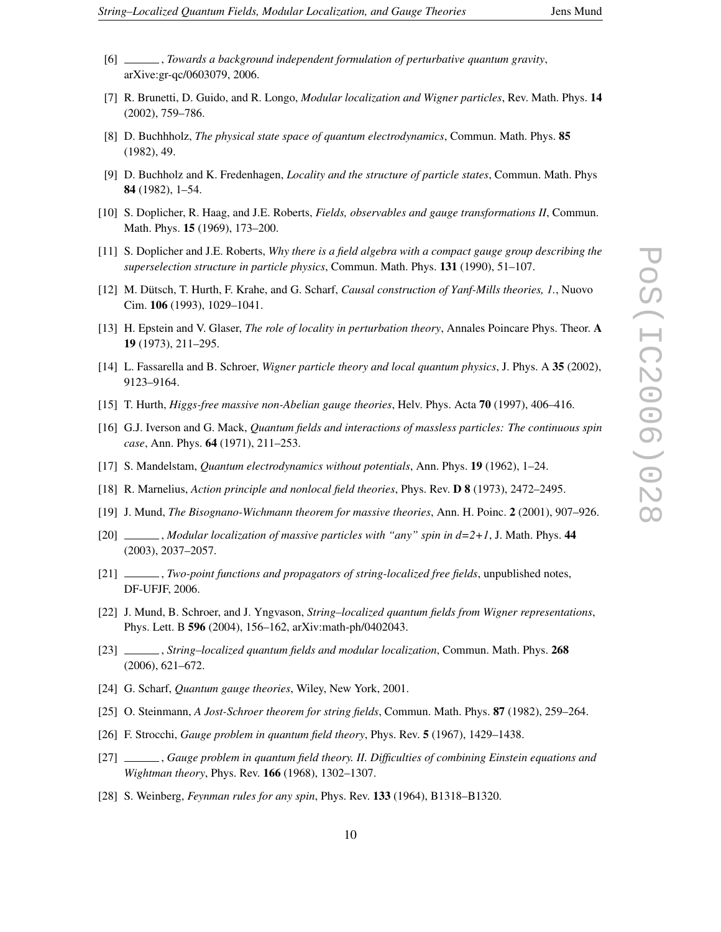- 
- [6] , *Towards a background independent formulation of perturbative quantum gravity*, arXive:gr-qc/0603079, 2006.
- [7] R. Brunetti, D. Guido, and R. Longo, *Modular localization and Wigner particles*, Rev. Math. Phys. **14** (2002), 759–786.
- [8] D. Buchhholz, *The physical state space of quantum electrodynamics*, Commun. Math. Phys. **85** (1982), 49.
- [9] D. Buchholz and K. Fredenhagen, *Locality and the structure of particle states*, Commun. Math. Phys **84** (1982), 1–54.
- [10] S. Doplicher, R. Haag, and J.E. Roberts, *Fields, observables and gauge transformations II*, Commun. Math. Phys. **15** (1969), 173–200.
- [11] S. Doplicher and J.E. Roberts, *Why there is a field algebra with a compact gauge group describing the superselection structure in particle physics*, Commun. Math. Phys. **131** (1990), 51–107.
- [12] M. Dütsch, T. Hurth, F. Krahe, and G. Scharf, *Causal construction of Yanf-Mills theories, 1.*, Nuovo Cim. **106** (1993), 1029–1041.
- [13] H. Epstein and V. Glaser, *The role of locality in perturbation theory*, Annales Poincare Phys. Theor. **A 19** (1973), 211–295.
- [14] L. Fassarella and B. Schroer, *Wigner particle theory and local quantum physics*, J. Phys. A **35** (2002), 9123–9164.
- [15] T. Hurth, *Higgs-free massive non-Abelian gauge theories*, Helv. Phys. Acta **70** (1997), 406–416.
- [16] G.J. Iverson and G. Mack, *Quantum fields and interactions of massless particles: The continuous spin case*, Ann. Phys. **64** (1971), 211–253.
- [17] S. Mandelstam, *Quantum electrodynamics without potentials*, Ann. Phys. **19** (1962), 1–24.
- [18] R. Marnelius, *Action principle and nonlocal field theories*, Phys. Rev. **D 8** (1973), 2472–2495.
- [19] J. Mund, *The Bisognano-Wichmann theorem for massive theories*, Ann. H. Poinc. **2** (2001), 907–926.
- [20] , *Modular localization of massive particles with "any" spin in d=2+1*, J. Math. Phys. **44** (2003), 2037–2057.
- [21] , *Two-point functions and propagators of string-localized free fields*, unpublished notes, DF-UFJF, 2006.
- [22] J. Mund, B. Schroer, and J. Yngvason, *String–localized quantum fields from Wigner representations*, Phys. Lett. B **596** (2004), 156–162, arXiv:math-ph/0402043.
- [23] , *String–localized quantum fields and modular localization*, Commun. Math. Phys. **268** (2006), 621–672.
- [24] G. Scharf, *Quantum gauge theories*, Wiley, New York, 2001.
- [25] O. Steinmann, *A Jost-Schroer theorem for string fields*, Commun. Math. Phys. **87** (1982), 259–264.
- [26] F. Strocchi, *Gauge problem in quantum field theory*, Phys. Rev. **5** (1967), 1429–1438.
- [27] , *Gauge problem in quantum field theory. II. Difficulties of combining Einstein equations and Wightman theory*, Phys. Rev. **166** (1968), 1302–1307.
- [28] S. Weinberg, *Feynman rules for any spin*, Phys. Rev. **133** (1964), B1318–B1320.